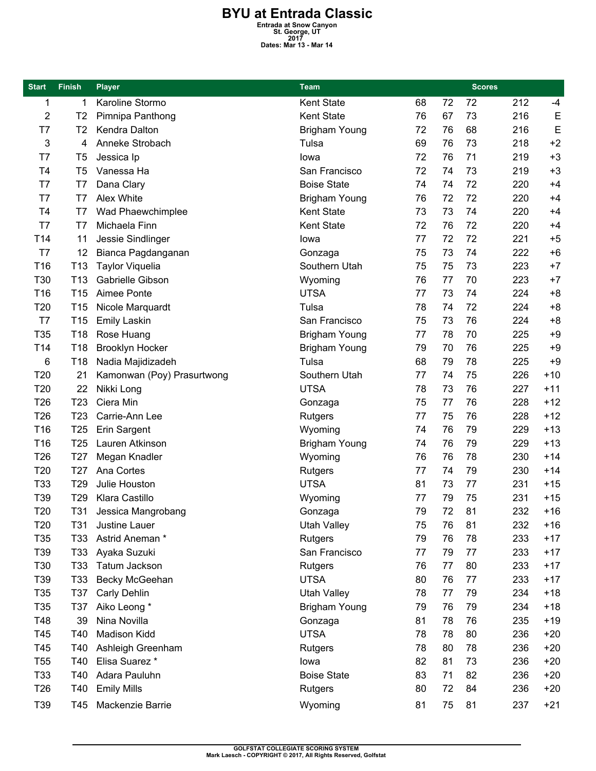## **BYU at Entrada Classic**<br>
Entrada at Snow Canyon<br>
St. George, UT<br>
Dates: Mar 13 - Mar 14

| <b>Start</b>    | <b>Finish</b>   | <b>Player</b>              | <b>Team</b>          |    |    | <b>Scores</b> |     |       |
|-----------------|-----------------|----------------------------|----------------------|----|----|---------------|-----|-------|
| 1               | 1               | Karoline Stormo            | Kent State           | 68 | 72 | 72            | 212 | $-4$  |
| 2               | T <sub>2</sub>  | Pimnipa Panthong           | <b>Kent State</b>    | 76 | 67 | 73            | 216 | E     |
| T7              | T2              | Kendra Dalton              | <b>Brigham Young</b> | 72 | 76 | 68            | 216 | E     |
| 3               | 4               | Anneke Strobach            | Tulsa                | 69 | 76 | 73            | 218 | $+2$  |
| T7              | T <sub>5</sub>  | Jessica Ip                 | lowa                 | 72 | 76 | 71            | 219 | $+3$  |
| T <sub>4</sub>  | T5              | Vanessa Ha                 | San Francisco        | 72 | 74 | 73            | 219 | $+3$  |
| T7              | T7              | Dana Clary                 | <b>Boise State</b>   | 74 | 74 | 72            | 220 | $+4$  |
| T7              | T7              | Alex White                 | <b>Brigham Young</b> | 76 | 72 | 72            | 220 | $+4$  |
| T <sub>4</sub>  | T7              | Wad Phaewchimplee          | Kent State           | 73 | 73 | 74            | 220 | $+4$  |
| T7              | T7              | Michaela Finn              | Kent State           | 72 | 76 | 72            | 220 | $+4$  |
| T14             | 11              | Jessie Sindlinger          | lowa                 | 77 | 72 | 72            | 221 | $+5$  |
| T7              | 12              | Bianca Pagdanganan         | Gonzaga              | 75 | 73 | 74            | 222 | $+6$  |
| T16             | T <sub>13</sub> | <b>Taylor Viquelia</b>     | Southern Utah        | 75 | 75 | 73            | 223 | $+7$  |
| T30             | T <sub>13</sub> | Gabrielle Gibson           | Wyoming              | 76 | 77 | 70            | 223 | $+7$  |
| T <sub>16</sub> | T <sub>15</sub> | Aimee Ponte                | <b>UTSA</b>          | 77 | 73 | 74            | 224 | $+8$  |
| T20             | T <sub>15</sub> | Nicole Marquardt           | Tulsa                | 78 | 74 | 72            | 224 | $+8$  |
| T7              | T <sub>15</sub> | <b>Emily Laskin</b>        | San Francisco        | 75 | 73 | 76            | 224 | $+8$  |
| T35             | T18             | Rose Huang                 | Brigham Young        | 77 | 78 | 70            | 225 | $+9$  |
| T14             | T <sub>18</sub> | <b>Brooklyn Hocker</b>     | <b>Brigham Young</b> | 79 | 70 | 76            | 225 | $+9$  |
| 6               | T18             | Nadia Majidizadeh          | Tulsa                | 68 | 79 | 78            | 225 | $+9$  |
| T20             | 21              | Kamonwan (Poy) Prasurtwong | Southern Utah        | 77 | 74 | 75            | 226 | $+10$ |
| T20             | 22              | Nikki Long                 | <b>UTSA</b>          | 78 | 73 | 76            | 227 | $+11$ |
| T <sub>26</sub> | T <sub>23</sub> | Ciera Min                  | Gonzaga              | 75 | 77 | 76            | 228 | $+12$ |
| T <sub>26</sub> | T <sub>23</sub> | Carrie-Ann Lee             | Rutgers              | 77 | 75 | 76            | 228 | $+12$ |
| T16             | T <sub>25</sub> | Erin Sargent               | Wyoming              | 74 | 76 | 79            | 229 | $+13$ |
| T16             | T <sub>25</sub> | Lauren Atkinson            | <b>Brigham Young</b> | 74 | 76 | 79            | 229 | $+13$ |
| T <sub>26</sub> | T <sub>27</sub> | Megan Knadler              | Wyoming              | 76 | 76 | 78            | 230 | $+14$ |
| T20             | T <sub>27</sub> | Ana Cortes                 | Rutgers              | 77 | 74 | 79            | 230 | $+14$ |
| T33             | T <sub>29</sub> | Julie Houston              | <b>UTSA</b>          | 81 | 73 | 77            | 231 | $+15$ |
| T39             | T <sub>29</sub> | <b>Klara Castillo</b>      | Wyoming              | 77 | 79 | 75            | 231 | $+15$ |
| T20             | T31             | Jessica Mangrobang         | Gonzaga              | 79 | 72 | 81            | 232 | $+16$ |
| T <sub>20</sub> | <b>T31</b>      | Justine Lauer              | <b>Utah Valley</b>   | 75 | 76 | 81            | 232 | $+16$ |
| T35             | T33             | Astrid Aneman *            | Rutgers              | 79 | 76 | 78            | 233 | $+17$ |
| T39             | T <sub>33</sub> | Ayaka Suzuki               | San Francisco        | 77 | 79 | 77            | 233 | $+17$ |
| T30             | T33             | Tatum Jackson              | Rutgers              | 76 | 77 | 80            | 233 | $+17$ |
| T39             | T33             | Becky McGeehan             | <b>UTSA</b>          | 80 | 76 | 77            | 233 | $+17$ |
| T35             | T37             | Carly Dehlin               | <b>Utah Valley</b>   | 78 | 77 | 79            | 234 | $+18$ |
| T35             | T37             | Aiko Leong *               | <b>Brigham Young</b> | 79 | 76 | 79            | 234 | $+18$ |
| T48             | 39              | Nina Novilla               | Gonzaga              | 81 | 78 | 76            | 235 | +19   |
| T45             | T40             | Madison Kidd               | <b>UTSA</b>          | 78 | 78 | 80            | 236 | $+20$ |
| T45             | T40             | Ashleigh Greenham          | Rutgers              | 78 | 80 | 78            | 236 | $+20$ |
| T <sub>55</sub> | T40             | Elisa Suarez *             | lowa                 | 82 | 81 | 73            | 236 | $+20$ |
| T33             | T40             | Adara Pauluhn              | <b>Boise State</b>   | 83 | 71 | 82            | 236 | $+20$ |
| T <sub>26</sub> | T40             | <b>Emily Mills</b>         | Rutgers              | 80 | 72 | 84            | 236 | $+20$ |
| T39             | T45             | Mackenzie Barrie           | Wyoming              | 81 | 75 | 81            | 237 | $+21$ |